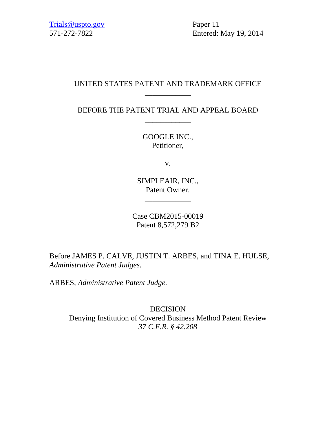571-272-7822 Entered: May 19, 2014

# UNITED STATES PATENT AND TRADEMARK OFFICE \_\_\_\_\_\_\_\_\_\_\_\_

BEFORE THE PATENT TRIAL AND APPEAL BOARD \_\_\_\_\_\_\_\_\_\_\_\_

> GOOGLE INC., Petitioner,

> > v.

SIMPLEAIR, INC., Patent Owner.

\_\_\_\_\_\_\_\_\_\_\_\_

Case CBM2015-00019 Patent 8,572,279 B2

Before JAMES P. CALVE, JUSTIN T. ARBES, and TINA E. HULSE, *Administrative Patent Judges.* 

ARBES, *Administrative Patent Judge.* 

DECISION Denying Institution of Covered Business Method Patent Review *37 C.F.R. § 42.208*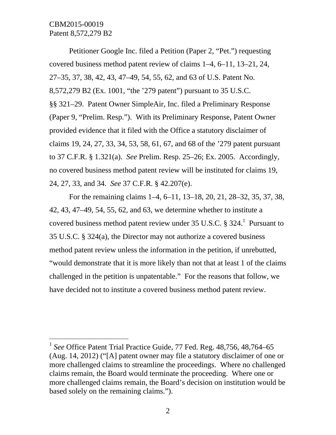$\overline{a}$ 

Petitioner Google Inc. filed a Petition (Paper 2, "Pet.") requesting covered business method patent review of claims 1–4, 6–11, 13–21, 24, 27–35, 37, 38, 42, 43, 47–49, 54, 55, 62, and 63 of U.S. Patent No. 8,572,279 B2 (Ex. 1001, "the '279 patent") pursuant to 35 U.S.C. §§ 321–29. Patent Owner SimpleAir, Inc. filed a Preliminary Response (Paper 9, "Prelim. Resp."). With its Preliminary Response, Patent Owner provided evidence that it filed with the Office a statutory disclaimer of claims 19, 24, 27, 33, 34, 53, 58, 61, 67, and 68 of the '279 patent pursuant to 37 C.F.R. § 1.321(a). *See* Prelim. Resp. 25–26; Ex. 2005. Accordingly, no covered business method patent review will be instituted for claims 19, 24, 27, 33, and 34. *See* 37 C.F.R. § 42.207(e).

For the remaining claims 1–4, 6–11, 13–18, 20, 21, 28–32, 35, 37, 38, 42, 43, 47–49, 54, 55, 62, and 63, we determine whether to institute a covered business method patent review under 35 U.S.C.  $\S 324$ .<sup>1</sup> Pursuant to 35 U.S.C. § 324(a), the Director may not authorize a covered business method patent review unless the information in the petition, if unrebutted, "would demonstrate that it is more likely than not that at least 1 of the claims challenged in the petition is unpatentable." For the reasons that follow, we have decided not to institute a covered business method patent review.

<sup>&</sup>lt;sup>1</sup> See Office Patent Trial Practice Guide, 77 Fed. Reg. 48,756, 48,764–65 (Aug. 14, 2012) ("[A] patent owner may file a statutory disclaimer of one or more challenged claims to streamline the proceedings. Where no challenged claims remain, the Board would terminate the proceeding. Where one or more challenged claims remain, the Board's decision on institution would be based solely on the remaining claims.").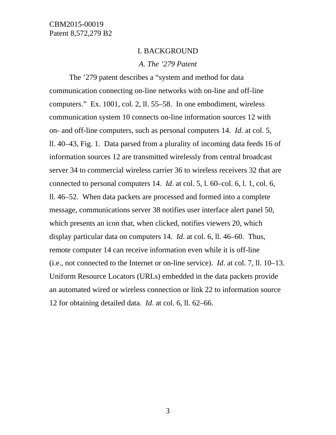#### I. BACKGROUND

#### *A. The '279 Patent*

The '279 patent describes a "system and method for data communication connecting on-line networks with on-line and off-line computers." Ex. 1001, col. 2, ll. 55–58. In one embodiment, wireless communication system 10 connects on-line information sources 12 with on- and off-line computers, such as personal computers 14. *Id*. at col. 5, ll. 40–43, Fig. 1. Data parsed from a plurality of incoming data feeds 16 of information sources 12 are transmitted wirelessly from central broadcast server 34 to commercial wireless carrier 36 to wireless receivers 32 that are connected to personal computers 14. *Id*. at col. 5, l. 60–col. 6, l. 1, col. 6, ll. 46–52. When data packets are processed and formed into a complete message, communications server 38 notifies user interface alert panel 50, which presents an icon that, when clicked, notifies viewers 20, which display particular data on computers 14. *Id*. at col. 6, ll. 46–60. Thus, remote computer 14 can receive information even while it is off-line (i.e., not connected to the Internet or on-line service). *Id*. at col. 7, ll. 10–13. Uniform Resource Locators (URLs) embedded in the data packets provide an automated wired or wireless connection or link 22 to information source 12 for obtaining detailed data. *Id*. at col. 6, ll. 62–66.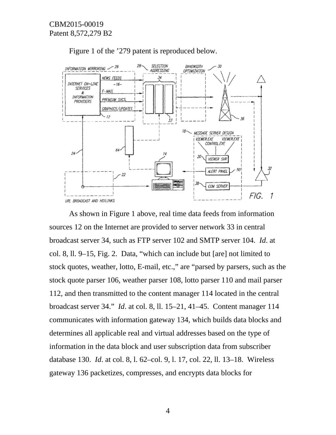

Figure 1 of the '279 patent is reproduced below.

As shown in Figure 1 above, real time data feeds from information sources 12 on the Internet are provided to server network 33 in central broadcast server 34, such as FTP server 102 and SMTP server 104. *Id*. at col. 8, ll. 9–15, Fig. 2. Data, "which can include but [are] not limited to stock quotes, weather, lotto, E-mail, etc.," are "parsed by parsers, such as the stock quote parser 106, weather parser 108, lotto parser 110 and mail parser 112, and then transmitted to the content manager 114 located in the central broadcast server 34." *Id*. at col. 8, ll. 15–21, 41–45. Content manager 114 communicates with information gateway 134, which builds data blocks and determines all applicable real and virtual addresses based on the type of information in the data block and user subscription data from subscriber database 130. *Id*. at col. 8, l. 62–col. 9, l. 17, col. 22, ll. 13–18. Wireless gateway 136 packetizes, compresses, and encrypts data blocks for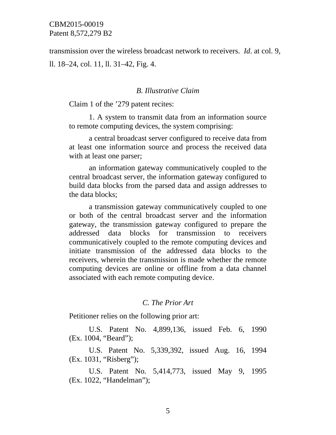transmission over the wireless broadcast network to receivers. *Id*. at col. 9, ll. 18–24, col. 11, ll. 31–42, Fig. 4.

### *B. Illustrative Claim*

Claim 1 of the '279 patent recites:

1. A system to transmit data from an information source to remote computing devices, the system comprising:

a central broadcast server configured to receive data from at least one information source and process the received data with at least one parser;

an information gateway communicatively coupled to the central broadcast server, the information gateway configured to build data blocks from the parsed data and assign addresses to the data blocks;

a transmission gateway communicatively coupled to one or both of the central broadcast server and the information gateway, the transmission gateway configured to prepare the addressed data blocks for transmission to receivers communicatively coupled to the remote computing devices and initiate transmission of the addressed data blocks to the receivers, wherein the transmission is made whether the remote computing devices are online or offline from a data channel associated with each remote computing device.

### *C. The Prior Art*

Petitioner relies on the following prior art:

U.S. Patent No. 4,899,136, issued Feb. 6, 1990 (Ex. 1004, "Beard");

U.S. Patent No. 5,339,392, issued Aug. 16, 1994 (Ex. 1031, "Risberg");

U.S. Patent No. 5,414,773, issued May 9, 1995 (Ex. 1022, "Handelman");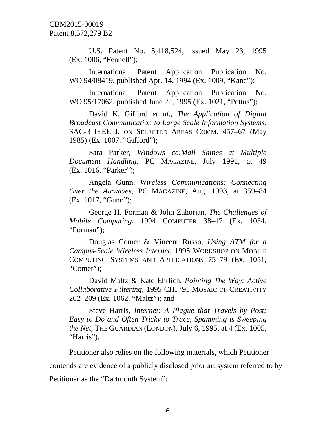U.S. Patent No. 5,418,524, issued May 23, 1995 (Ex. 1006, "Fennell");

International Patent Application Publication No. WO 94/08419, published Apr. 14, 1994 (Ex. 1009, "Kane");

International Patent Application Publication No. WO 95/17062, published June 22, 1995 (Ex. 1021, "Pettus");

David K. Gifford *et al*., *The Application of Digital Broadcast Communication to Large Scale Information Systems*, SAC-3 IEEE J. ON SELECTED AREAS COMM. 457–67 (May 1985) (Ex. 1007, "Gifford");

Sara Parker, *Windows cc:Mail Shines at Multiple Document Handling*, PC MAGAZINE, July 1991, at 49 (Ex. 1016, "Parker");

Angela Gunn, *Wireless Communications: Connecting Over the Airwaves*, PC MAGAZINE, Aug. 1993, at 359–84 (Ex. 1017, "Gunn");

George H. Forman & John Zahorjan, *The Challenges of Mobile Computing*, 1994 COMPUTER 38–47 (Ex. 1034, "Forman");

Douglas Comer & Vincent Russo, *Using ATM for a Campus-Scale Wireless Internet*, 1995 WORKSHOP ON MOBILE COMPUTING SYSTEMS AND APPLICATIONS 75–79 (Ex. 1051, "Comer");

David Maltz & Kate Ehrlich, *Pointing The Way: Active Collaborative Filtering*, 1995 CHI '95 MOSAIC OF CREATIVITY 202–209 (Ex. 1062, "Maltz"); and

Steve Harris, *Internet: A Plague that Travels by Post; Easy to Do and Often Tricky to Trace, Spamming is Sweeping the Net*, THE GUARDIAN (LONDON), July 6, 1995, at 4 (Ex. 1005, "Harris").

Petitioner also relies on the following materials, which Petitioner contends are evidence of a publicly disclosed prior art system referred to by

Petitioner as the "Dartmouth System":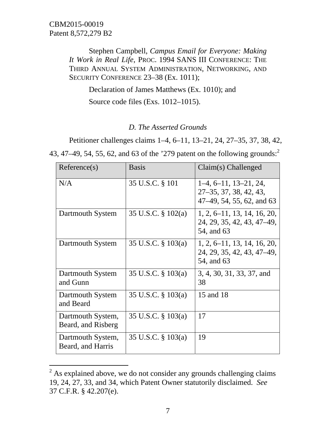$\overline{a}$ 

Stephen Campbell, *Campus Email for Everyone: Making It Work in Real Life*, PROC. 1994 SANS III CONFERENCE: THE THIRD ANNUAL SYSTEM ADMINISTRATION, NETWORKING, AND SECURITY CONFERENCE 23–38 (Ex. 1011);

Declaration of James Matthews (Ex. 1010); and

Source code files (Exs. 1012–1015).

### *D. The Asserted Grounds*

Petitioner challenges claims 1–4, 6–11, 13–21, 24, 27–35, 37, 38, 42,

43, 47–49, 54, 55, 62, and 63 of the '279 patent on the following grounds:<sup>2</sup>

| Reference(s)                            | <b>Basis</b>          | $Claim(s)$ Challenged                                                          |
|-----------------------------------------|-----------------------|--------------------------------------------------------------------------------|
| N/A                                     | 35 U.S.C. § 101       | $1-4, 6-11, 13-21, 24,$<br>27–35, 37, 38, 42, 43,<br>47-49, 54, 55, 62, and 63 |
| Dartmouth System                        | 35 U.S.C. $\S$ 102(a) | $1, 2, 6$ -11, 13, 14, 16, 20,<br>24, 29, 35, 42, 43, 47–49,<br>54, and 63     |
| Dartmouth System                        | 35 U.S.C. § 103(a)    | $1, 2, 6$ -11, 13, 14, 16, 20,<br>24, 29, 35, 42, 43, 47–49,<br>54, and 63     |
| Dartmouth System<br>and Gunn            | 35 U.S.C. § 103(a)    | 3, 4, 30, 31, 33, 37, and<br>38                                                |
| Dartmouth System<br>and Beard           | 35 U.S.C. § 103(a)    | 15 and 18                                                                      |
| Dartmouth System,<br>Beard, and Risberg | 35 U.S.C. $\S$ 103(a) | 17                                                                             |
| Dartmouth System,<br>Beard, and Harris  | 35 U.S.C. $\S$ 103(a) | 19                                                                             |

 $2^{2}$  As explained above, we do not consider any grounds challenging claims 19, 24, 27, 33, and 34, which Patent Owner statutorily disclaimed. *See* 37 C.F.R. § 42.207(e).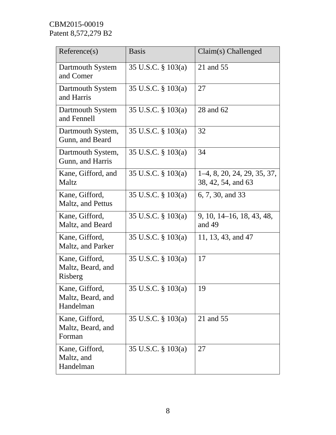| Reference(s)                                     | <b>Basis</b>       | Claim(s) Challenged                                 |
|--------------------------------------------------|--------------------|-----------------------------------------------------|
| Dartmouth System<br>and Comer                    | 35 U.S.C. § 103(a) | 21 and 55                                           |
| Dartmouth System<br>and Harris                   | 35 U.S.C. § 103(a) | 27                                                  |
| Dartmouth System<br>and Fennell                  | 35 U.S.C. § 103(a) | 28 and 62                                           |
| Dartmouth System,<br>Gunn, and Beard             | 35 U.S.C. § 103(a) | 32                                                  |
| Dartmouth System,<br>Gunn, and Harris            | 35 U.S.C. § 103(a) | 34                                                  |
| Kane, Gifford, and<br>Maltz                      | 35 U.S.C. § 103(a) | $1-4, 8, 20, 24, 29, 35, 37,$<br>38, 42, 54, and 63 |
| Kane, Gifford,<br>Maltz, and Pettus              | 35 U.S.C. § 103(a) | 6, 7, 30, and 33                                    |
| Kane, Gifford,<br>Maltz, and Beard               | 35 U.S.C. § 103(a) | 9, 10, 14–16, 18, 43, 48,<br>and 49                 |
| Kane, Gifford,<br>Maltz, and Parker              | 35 U.S.C. § 103(a) | 11, 13, 43, and 47                                  |
| Kane, Gifford,<br>Maltz, Beard, and<br>Risberg   | 35 U.S.C. § 103(a) | 17                                                  |
| Kane, Gifford,<br>Maltz, Beard, and<br>Handelman | 35 U.S.C. § 103(a) | 19                                                  |
| Kane, Gifford,<br>Maltz, Beard, and<br>Forman    | 35 U.S.C. § 103(a) | 21 and 55                                           |
| Kane, Gifford,<br>Maltz, and<br>Handelman        | 35 U.S.C. § 103(a) | 27                                                  |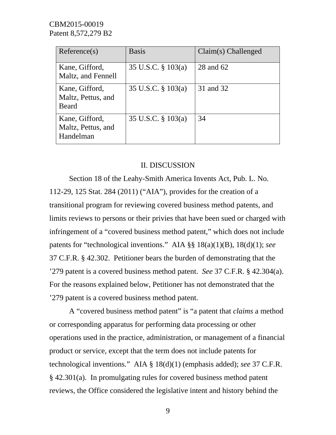| Reference(s)                                         | <b>Basis</b>       | $Claim(s)$ Challenged |
|------------------------------------------------------|--------------------|-----------------------|
| Kane, Gifford,<br>Maltz, and Fennell                 | 35 U.S.C. § 103(a) | 28 and 62             |
| Kane, Gifford,<br>Maltz, Pettus, and<br><b>Beard</b> | 35 U.S.C. § 103(a) | 31 and 32             |
| Kane, Gifford,<br>Maltz, Pettus, and<br>Handelman    | 35 U.S.C. § 103(a) | 34                    |

### II. DISCUSSION

Section 18 of the Leahy-Smith America Invents Act, Pub. L. No. 112-29, 125 Stat. 284 (2011) ("AIA"), provides for the creation of a transitional program for reviewing covered business method patents, and limits reviews to persons or their privies that have been sued or charged with infringement of a "covered business method patent," which does not include patents for "technological inventions." AIA §§ 18(a)(1)(B), 18(d)(1); *see* 37 C.F.R. § 42.302. Petitioner bears the burden of demonstrating that the '279 patent is a covered business method patent. *See* 37 C.F.R. § 42.304(a). For the reasons explained below, Petitioner has not demonstrated that the '279 patent is a covered business method patent.

A "covered business method patent" is "a patent that *claims* a method or corresponding apparatus for performing data processing or other operations used in the practice, administration, or management of a financial product or service, except that the term does not include patents for technological inventions." AIA § 18(d)(1) (emphasis added); *see* 37 C.F.R. § 42.301(a). In promulgating rules for covered business method patent reviews, the Office considered the legislative intent and history behind the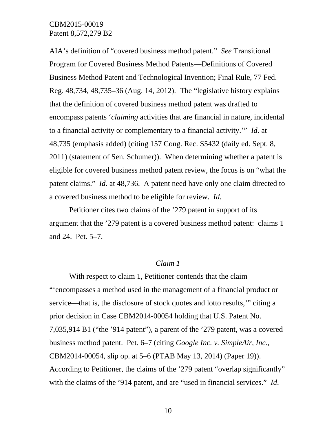AIA's definition of "covered business method patent." *See* Transitional Program for Covered Business Method Patents—Definitions of Covered Business Method Patent and Technological Invention; Final Rule, 77 Fed. Reg. 48,734, 48,735–36 (Aug. 14, 2012). The "legislative history explains that the definition of covered business method patent was drafted to encompass patents '*claiming* activities that are financial in nature, incidental to a financial activity or complementary to a financial activity.'" *Id*. at 48,735 (emphasis added) (citing 157 Cong. Rec. S5432 (daily ed. Sept. 8, 2011) (statement of Sen. Schumer)). When determining whether a patent is eligible for covered business method patent review, the focus is on "what the patent claims." *Id*. at 48,736. A patent need have only one claim directed to a covered business method to be eligible for review. *Id*.

Petitioner cites two claims of the '279 patent in support of its argument that the '279 patent is a covered business method patent: claims 1 and 24. Pet. 5–7.

### *Claim 1*

With respect to claim 1, Petitioner contends that the claim "'encompasses a method used in the management of a financial product or service—that is, the disclosure of stock quotes and lotto results,'" citing a prior decision in Case CBM2014-00054 holding that U.S. Patent No. 7,035,914 B1 ("the '914 patent"), a parent of the '279 patent, was a covered business method patent. Pet. 6–7 (citing *Google Inc. v. SimpleAir, Inc.*, CBM2014-00054, slip op. at 5–6 (PTAB May 13, 2014) (Paper 19)). According to Petitioner, the claims of the '279 patent "overlap significantly" with the claims of the '914 patent, and are "used in financial services." *Id*.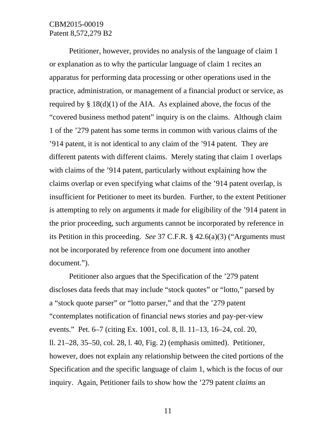Petitioner, however, provides no analysis of the language of claim 1 or explanation as to why the particular language of claim 1 recites an apparatus for performing data processing or other operations used in the practice, administration, or management of a financial product or service, as required by  $\S$  18(d)(1) of the AIA. As explained above, the focus of the "covered business method patent" inquiry is on the claims. Although claim 1 of the '279 patent has some terms in common with various claims of the '914 patent, it is not identical to any claim of the '914 patent. They are different patents with different claims. Merely stating that claim 1 overlaps with claims of the '914 patent, particularly without explaining how the claims overlap or even specifying what claims of the '914 patent overlap, is insufficient for Petitioner to meet its burden. Further, to the extent Petitioner is attempting to rely on arguments it made for eligibility of the '914 patent in the prior proceeding, such arguments cannot be incorporated by reference in its Petition in this proceeding. *See* 37 C.F.R. § 42.6(a)(3) ("Arguments must not be incorporated by reference from one document into another document.").

Petitioner also argues that the Specification of the '279 patent discloses data feeds that may include "stock quotes" or "lotto," parsed by a "stock quote parser" or "lotto parser," and that the '279 patent "contemplates notification of financial news stories and pay-per-view events." Pet. 6–7 (citing Ex. 1001, col. 8, ll. 11–13, 16–24, col. 20, ll. 21–28, 35–50, col. 28, l. 40, Fig. 2) (emphasis omitted). Petitioner, however, does not explain any relationship between the cited portions of the Specification and the specific language of claim 1, which is the focus of our inquiry. Again, Petitioner fails to show how the '279 patent *claims* an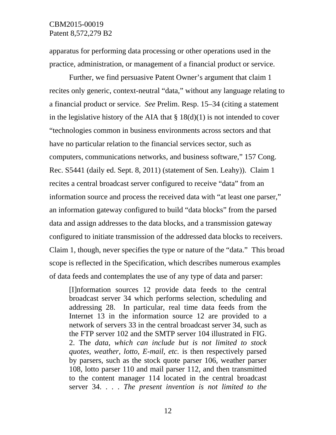apparatus for performing data processing or other operations used in the practice, administration, or management of a financial product or service.

Further, we find persuasive Patent Owner's argument that claim 1 recites only generic, context-neutral "data," without any language relating to a financial product or service. *See* Prelim. Resp. 15–34 (citing a statement in the legislative history of the AIA that  $\S 18(d)(1)$  is not intended to cover "technologies common in business environments across sectors and that have no particular relation to the financial services sector, such as computers, communications networks, and business software," 157 Cong. Rec. S5441 (daily ed. Sept. 8, 2011) (statement of Sen. Leahy)). Claim 1 recites a central broadcast server configured to receive "data" from an information source and process the received data with "at least one parser," an information gateway configured to build "data blocks" from the parsed data and assign addresses to the data blocks, and a transmission gateway configured to initiate transmission of the addressed data blocks to receivers. Claim 1, though, never specifies the type or nature of the "data." This broad scope is reflected in the Specification, which describes numerous examples of data feeds and contemplates the use of any type of data and parser:

[I]nformation sources 12 provide data feeds to the central broadcast server 34 which performs selection, scheduling and addressing 28. In particular, real time data feeds from the Internet 13 in the information source 12 are provided to a network of servers 33 in the central broadcast server 34, such as the FTP server 102 and the SMTP server 104 illustrated in FIG. 2. The *data, which can include but is not limited to stock quotes, weather, lotto, E-mail, etc.* is then respectively parsed by parsers, such as the stock quote parser 106, weather parser 108, lotto parser 110 and mail parser 112, and then transmitted to the content manager 114 located in the central broadcast server 34. . . . *The present invention is not limited to the*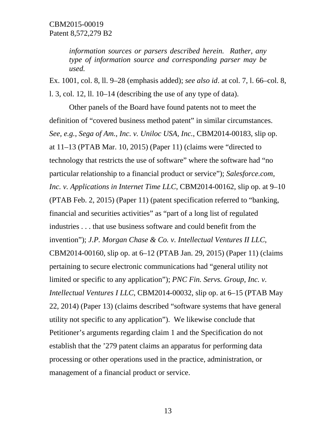*information sources or parsers described herein. Rather, any type of information source and corresponding parser may be used.*

Ex. 1001, col. 8, ll. 9–28 (emphasis added); *see also id*. at col. 7, l. 66–col. 8, l. 3, col. 12, ll. 10–14 (describing the use of any type of data).

Other panels of the Board have found patents not to meet the definition of "covered business method patent" in similar circumstances. *See, e.g.*, *Sega of Am., Inc. v. Uniloc USA, Inc.*, CBM2014-00183, slip op. at 11–13 (PTAB Mar. 10, 2015) (Paper 11) (claims were "directed to technology that restricts the use of software" where the software had "no particular relationship to a financial product or service"); *Salesforce.com, Inc. v. Applications in Internet Time LLC*, CBM2014-00162, slip op. at 9–10 (PTAB Feb. 2, 2015) (Paper 11) (patent specification referred to "banking, financial and securities activities" as "part of a long list of regulated industries . . . that use business software and could benefit from the invention"); *J.P. Morgan Chase & Co. v. Intellectual Ventures II LLC*, CBM2014-00160, slip op. at 6–12 (PTAB Jan. 29, 2015) (Paper 11) (claims pertaining to secure electronic communications had "general utility not limited or specific to any application"); *PNC Fin. Servs. Group, Inc. v. Intellectual Ventures I LLC*, CBM2014-00032, slip op. at 6–15 (PTAB May 22, 2014) (Paper 13) (claims described "software systems that have general utility not specific to any application"). We likewise conclude that Petitioner's arguments regarding claim 1 and the Specification do not establish that the '279 patent claims an apparatus for performing data processing or other operations used in the practice, administration, or management of a financial product or service.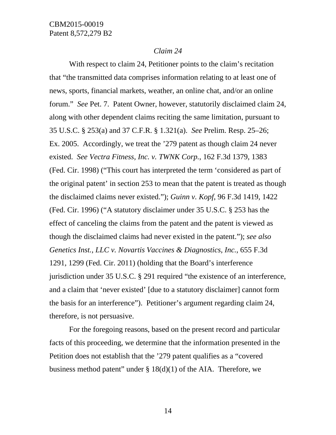### *Claim 24*

With respect to claim 24, Petitioner points to the claim's recitation that "the transmitted data comprises information relating to at least one of news, sports, financial markets, weather, an online chat, and/or an online forum." *See* Pet. 7. Patent Owner, however, statutorily disclaimed claim 24, along with other dependent claims reciting the same limitation, pursuant to 35 U.S.C. § 253(a) and 37 C.F.R. § 1.321(a). *See* Prelim. Resp. 25–26; Ex. 2005. Accordingly, we treat the '279 patent as though claim 24 never existed. *See Vectra Fitness, Inc. v. TWNK Corp.*, 162 F.3d 1379, 1383 (Fed. Cir. 1998) ("This court has interpreted the term 'considered as part of the original patent' in section 253 to mean that the patent is treated as though the disclaimed claims never existed."); *Guinn v. Kopf*, 96 F.3d 1419, 1422 (Fed. Cir. 1996) ("A statutory disclaimer under 35 U.S.C. § 253 has the effect of canceling the claims from the patent and the patent is viewed as though the disclaimed claims had never existed in the patent."); *see also Genetics Inst., LLC v. Novartis Vaccines & Diagnostics, Inc.*, 655 F.3d 1291, 1299 (Fed. Cir. 2011) (holding that the Board's interference jurisdiction under 35 U.S.C. § 291 required "the existence of an interference, and a claim that 'never existed' [due to a statutory disclaimer] cannot form the basis for an interference"). Petitioner's argument regarding claim 24, therefore, is not persuasive.

For the foregoing reasons, based on the present record and particular facts of this proceeding, we determine that the information presented in the Petition does not establish that the '279 patent qualifies as a "covered business method patent" under § 18(d)(1) of the AIA. Therefore, we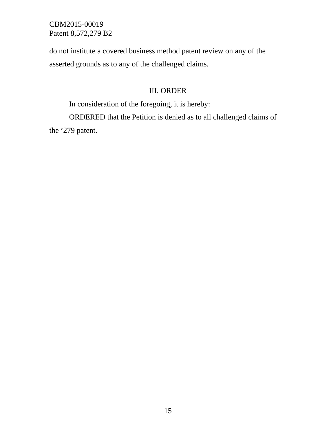do not institute a covered business method patent review on any of the asserted grounds as to any of the challenged claims.

# III. ORDER

In consideration of the foregoing, it is hereby:

ORDERED that the Petition is denied as to all challenged claims of the '279 patent.